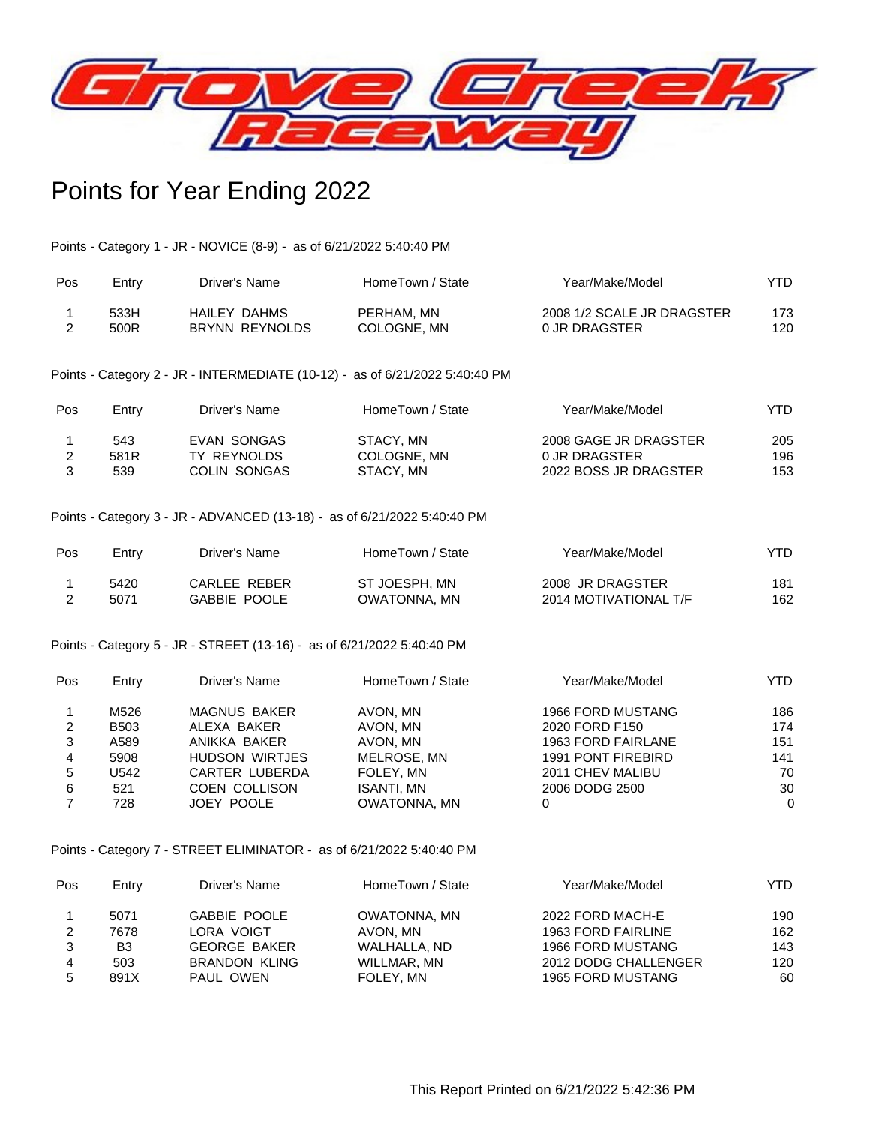

# Points for Year Ending 2022

Points - Category 1 - JR - NOVICE (8-9) - as of 6/21/2022 5:40:40 PM

| Pos | Entry | Driver's Name  | HomeTown / State | Year/Make/Model            | YTD. |
|-----|-------|----------------|------------------|----------------------------|------|
|     | 533H  | HAILEY DAHMS   | PERHAM, MN       | 2008 1/2 SCALE JR DRAGSTER | 173  |
|     | 500R  | BRYNN REYNOLDS | COLOGNE, MN      | 0 JR DRAGSTER              | 120  |

Points - Category 2 - JR - INTERMEDIATE (10-12) - as of 6/21/2022 5:40:40 PM

| Pos | Entry | Driver's Name       | HomeTown / State | Year/Make/Model       | YTD. |
|-----|-------|---------------------|------------------|-----------------------|------|
|     | 543   | EVAN SONGAS         | STACY, MN        | 2008 GAGE JR DRAGSTER | 205  |
|     | 581R  | TY REYNOLDS         | COLOGNE, MN      | 0 JR DRAGSTER         | 196  |
|     | 539   | <b>COLIN SONGAS</b> | STACY, MN        | 2022 BOSS JR DRAGSTER | 153  |

Points - Category 3 - JR - ADVANCED (13-18) - as of 6/21/2022 5:40:40 PM

| Pos | Entry | Driver's Name | HomeTown / State | Year/Make/Model       | YTD. |
|-----|-------|---------------|------------------|-----------------------|------|
|     | 5420  | CARLEE REBER  | ST JOESPH, MN    | 2008 JR DRAGSTER      | 181  |
|     | 5071  | GABBIE POOLE  | OWATONNA, MN     | 2014 MOTIVATIONAL T/F | 162  |

Points - Category 5 - JR - STREET (13-16) - as of 6/21/2022 5:40:40 PM

| Pos | Entry       | Driver's Name         | HomeTown / State  | Year/Make/Model    | YTD.         |
|-----|-------------|-----------------------|-------------------|--------------------|--------------|
|     | M526        | <b>MAGNUS BAKER</b>   | AVON, MN          | 1966 FORD MUSTANG  | 186          |
| 2   | <b>B503</b> | ALEXA BAKER           | AVON, MN          | 2020 FORD F150     | 174          |
| 3   | A589        | ANIKKA BAKER          | AVON, MN          | 1963 FORD FAIRLANE | 151          |
| 4   | 5908        | <b>HUDSON WIRTJES</b> | MELROSE, MN       | 1991 PONT FIREBIRD | 141          |
| 5   | U542        | CARTER LUBERDA        | FOLEY, MN         | 2011 CHEV MALIBU   | 70           |
| 6   | 521         | <b>COEN COLLISON</b>  | <b>ISANTI, MN</b> | 2006 DODG 2500     | 30           |
|     | 728         | JOEY POOLE            | OWATONNA, MN      |                    | $\mathbf{0}$ |

Points - Category 7 - STREET ELIMINATOR - as of 6/21/2022 5:40:40 PM

| Pos | Entry | Driver's Name        | HomeTown / State | Year/Make/Model          | YTD. |
|-----|-------|----------------------|------------------|--------------------------|------|
|     | 5071  | <b>GABBIE POOLE</b>  | OWATONNA, MN     | 2022 FORD MACH-E         | 190  |
|     | 7678  | LORA VOIGT           | AVON. MN         | 1963 FORD FAIRLINE       | 162  |
|     | B3    | <b>GEORGE BAKER</b>  | WALHALLA, ND     | 1966 FORD MUSTANG        | 143  |
| 4   | 503   | <b>BRANDON KLING</b> | WILLMAR, MN      | 2012 DODG CHALLENGER     | 120  |
| 5   | 891X  | PAUL OWEN            | FOLEY, MN        | <b>1965 FORD MUSTANG</b> | 60   |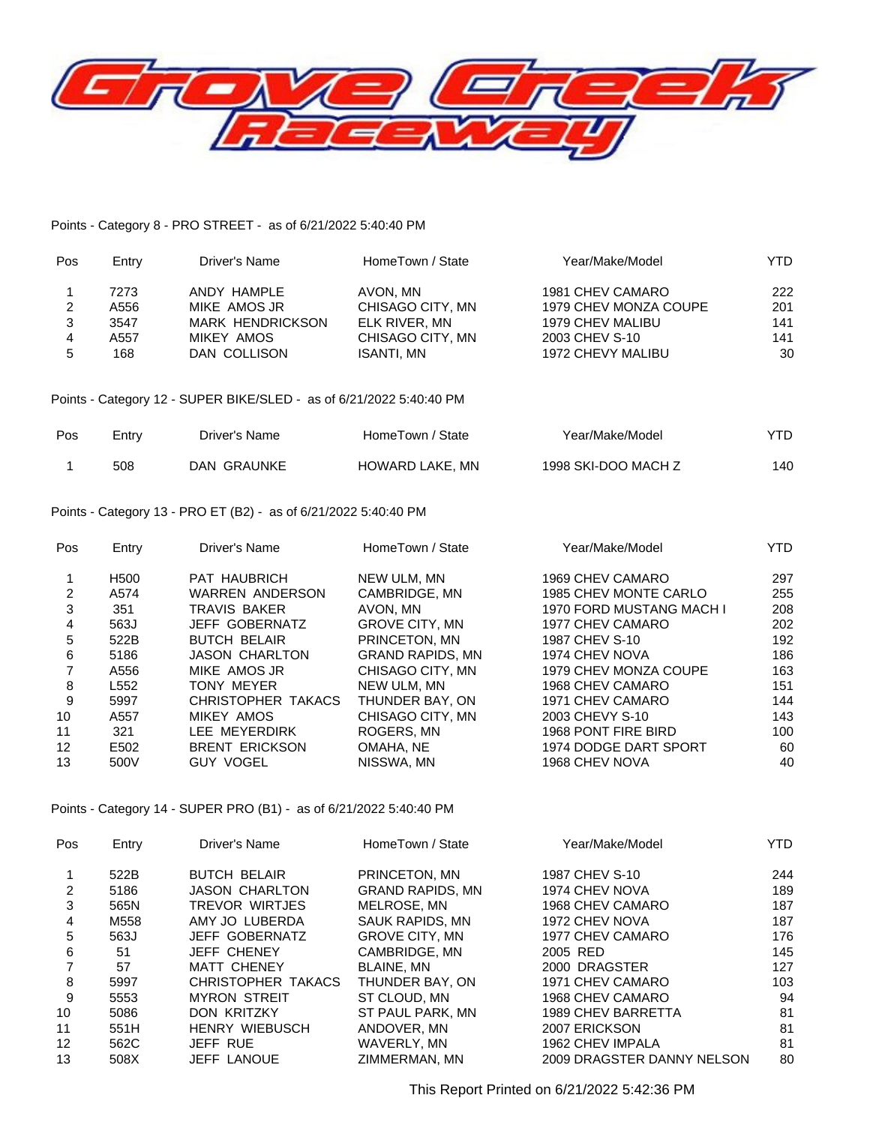

### Points - Category 8 - PRO STREET - as of 6/21/2022 5:40:40 PM

| Pos | Entry | Driver's Name           | HomeTown / State | Year/Make/Model       | YTD. |
|-----|-------|-------------------------|------------------|-----------------------|------|
|     | 7273  | ANDY HAMPLE             | AVON. MN         | 1981 CHEV CAMARO      | 222  |
|     | A556  | MIKE AMOS JR            | CHISAGO CITY, MN | 1979 CHEV MONZA COUPE | 201  |
| 3   | 3547  | <b>MARK HENDRICKSON</b> | ELK RIVER, MN    | 1979 CHEV MALIBU      | 141  |
| 4   | A557  | MIKEY AMOS              | CHISAGO CITY, MN | 2003 CHEV S-10        | 141  |
| 5   | 168   | DAN COLLISON            | ISANTI. MN       | 1972 CHEVY MALIBU     | 30   |

### Points - Category 12 - SUPER BIKE/SLED - as of 6/21/2022 5:40:40 PM

| Pos | Entry | Driver's Name | HomeTown / State | Year/Make/Model     | YTD |
|-----|-------|---------------|------------------|---------------------|-----|
|     | 508   | DAN GRAUNKE   | HOWARD LAKE, MN  | 1998 SKI-DOO MACH Z | 140 |

### Points - Category 13 - PRO ET (B2) - as of 6/21/2022 5:40:40 PM

| Pos             | Entry            | Driver's Name          | HomeTown / State        | Year/Make/Model          | YTD. |
|-----------------|------------------|------------------------|-------------------------|--------------------------|------|
|                 | H <sub>500</sub> | <b>PAT HAUBRICH</b>    | NEW ULM, MN             | 1969 CHEV CAMARO         | 297  |
| 2               | A574             | <b>WARREN ANDERSON</b> | CAMBRIDGE, MN           | 1985 CHEV MONTE CARLO    | 255  |
| 3               | 351              | <b>TRAVIS BAKER</b>    | AVON. MN                | 1970 FORD MUSTANG MACH I | 208  |
| 4               | 563J             | <b>JEFF GOBERNATZ</b>  | <b>GROVE CITY, MN</b>   | 1977 CHEV CAMARO         | 202  |
| 5               | 522B             | <b>BUTCH BELAIR</b>    | PRINCETON, MN           | 1987 CHEV S-10           | 192  |
| 6               | 5186             | JASON CHARLTON         | <b>GRAND RAPIDS, MN</b> | 1974 CHEV NOVA           | 186  |
|                 | A556             | MIKE AMOS JR           | CHISAGO CITY, MN        | 1979 CHEV MONZA COUPE    | 163  |
| 8               | L552             | TONY MEYER             | NEW ULM, MN             | 1968 CHEV CAMARO         | 151  |
| 9               | 5997             | CHRISTOPHER TAKACS     | THUNDER BAY, ON         | 1971 CHEV CAMARO         | 144  |
| 10 <sup>°</sup> | A557             | MIKEY AMOS             | CHISAGO CITY, MN        | 2003 CHEVY S-10          | 143  |
| 11              | 321              | LEE MEYERDIRK          | ROGERS, MN              | 1968 PONT FIRE BIRD      | 100  |
| 12              | E502             | <b>BRENT ERICKSON</b>  | OMAHA, NE               | 1974 DODGE DART SPORT    | 60   |
| 13              | 500V             | <b>GUY VOGEL</b>       | NISSWA, MN              | 1968 CHEV NOVA           | 40   |

Points - Category 14 - SUPER PRO (B1) - as of 6/21/2022 5:40:40 PM

| Pos               | Entry | Driver's Name         | HomeTown / State        | Year/Make/Model            | YTD. |
|-------------------|-------|-----------------------|-------------------------|----------------------------|------|
|                   | 522B  | <b>BUTCH BELAIR</b>   | PRINCETON, MN           | 1987 CHEV S-10             | 244  |
|                   | 5186  | <b>JASON CHARLTON</b> | <b>GRAND RAPIDS, MN</b> | 1974 CHEV NOVA             | 189  |
| 3                 | 565N  | TREVOR WIRTJES        | MELROSE, MN             | 1968 CHEV CAMARO           | 187  |
| 4                 | M558  | AMY JO LUBERDA        | SAUK RAPIDS, MN         | 1972 CHEV NOVA             | 187  |
| 5                 | 563J  | <b>JEFF GOBERNATZ</b> | <b>GROVE CITY, MN</b>   | 1977 CHEV CAMARO           | 176  |
| 6                 | 51    | <b>JEFF CHENEY</b>    | CAMBRIDGE, MN           | 2005 RED                   | 145  |
|                   | 57    | <b>MATT CHENEY</b>    | <b>BLAINE, MN</b>       | 2000 DRAGSTER              | 127  |
| 8                 | 5997  | CHRISTOPHER TAKACS    | THUNDER BAY, ON         | 1971 CHEV CAMARO           | 103  |
| 9                 | 5553  | <b>MYRON STREIT</b>   | ST CLOUD, MN            | 1968 CHEV CAMARO           | 94   |
| 10                | 5086  | <b>DON KRITZKY</b>    | ST PAUL PARK, MN        | 1989 CHEV BARRETTA         | 81   |
| 11                | 551H  | <b>HENRY WIEBUSCH</b> | ANDOVER, MN             | 2007 ERICKSON              | 81   |
| $12 \overline{ }$ | 562C  | JEFF RUE              | WAVERLY, MN             | 1962 CHEV IMPALA           | 81   |
| 13                | 508X  | <b>JEFF LANOUE</b>    | ZIMMERMAN, MN           | 2009 DRAGSTER DANNY NELSON | 80   |

This Report Printed on 6/21/2022 5:42:36 PM